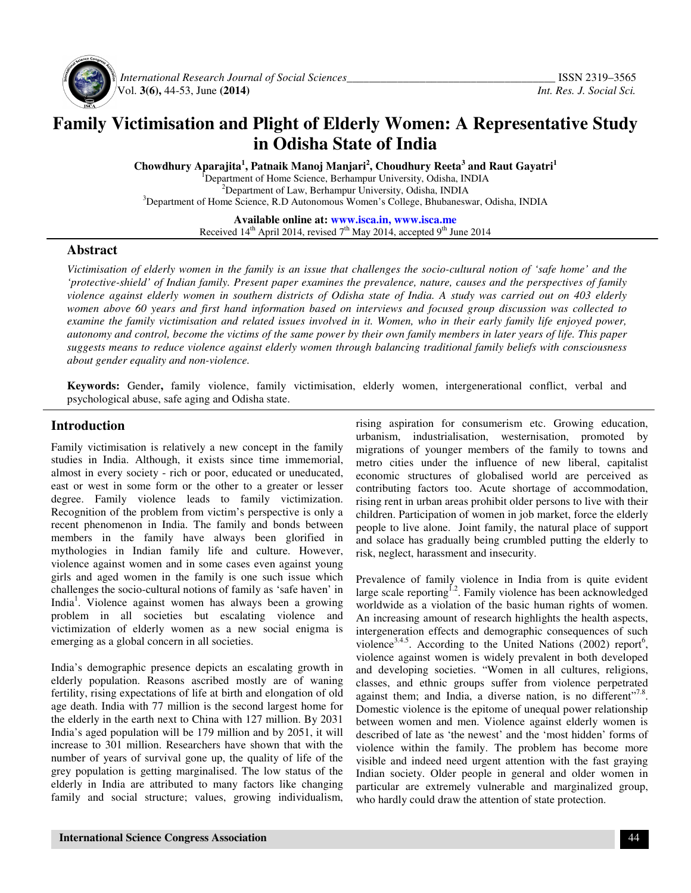

 *International Research Journal of Social Sciences\_\_\_\_\_\_\_\_\_\_\_\_\_\_\_\_\_\_\_\_\_\_\_\_\_\_\_\_\_\_\_\_\_\_\_\_\_* ISSN 2319–3565 Vol. **3(6),** 44-53, June **(2014)** *Int. Res. J. Social Sci.*

# **Family Victimisation and Plight of Elderly Women: A Representative Study in Odisha State of India**

**Chowdhury Aparajita<sup>1</sup> , Patnaik Manoj Manjari<sup>2</sup> , Choudhury Reeta<sup>3</sup> and Raut Gayatri<sup>1</sup>** <sup>1</sup>Department of Home Science, Berhampur University, Odisha, INDIA <sup>2</sup>Department of Law, Berhampur University, Odisha, INDIA <sup>3</sup>Department of Home Science, R.D Autonomous Women's College, Bhubaneswar, Odisha, INDIA

> **Available online at: www.isca.in, www.isca.me** Received  $14<sup>th</sup>$  April 2014, revised  $7<sup>th</sup>$  May 2014, accepted 9<sup>th</sup> June 2014

### **Abstract**

*Victimisation of elderly women in the family is an issue that challenges the socio-cultural notion of 'safe home' and the 'protective-shield' of Indian family. Present paper examines the prevalence, nature, causes and the perspectives of family violence against elderly women in southern districts of Odisha state of India. A study was carried out on 403 elderly women above 60 years and first hand information based on interviews and focused group discussion was collected to examine the family victimisation and related issues involved in it. Women, who in their early family life enjoyed power, autonomy and control, become the victims of the same power by their own family members in later years of life. This paper suggests means to reduce violence against elderly women through balancing traditional family beliefs with consciousness about gender equality and non-violence.* 

**Keywords:** Gender**,** family violence, family victimisation, elderly women, intergenerational conflict, verbal and psychological abuse, safe aging and Odisha state.

## **Introduction**

Family victimisation is relatively a new concept in the family studies in India. Although, it exists since time immemorial, almost in every society - rich or poor, educated or uneducated, east or west in some form or the other to a greater or lesser degree. Family violence leads to family victimization. Recognition of the problem from victim's perspective is only a recent phenomenon in India. The family and bonds between members in the family have always been glorified in mythologies in Indian family life and culture. However, violence against women and in some cases even against young girls and aged women in the family is one such issue which challenges the socio-cultural notions of family as 'safe haven' in India<sup>1</sup>. Violence against women has always been a growing problem in all societies but escalating violence and victimization of elderly women as a new social enigma is emerging as a global concern in all societies.

India's demographic presence depicts an escalating growth in elderly population. Reasons ascribed mostly are of waning fertility, rising expectations of life at birth and elongation of old age death. India with 77 million is the second largest home for the elderly in the earth next to China with 127 million. By 2031 India's aged population will be 179 million and by 2051, it will increase to 301 million. Researchers have shown that with the number of years of survival gone up, the quality of life of the grey population is getting marginalised. The low status of the elderly in India are attributed to many factors like changing family and social structure; values, growing individualism, rising aspiration for consumerism etc. Growing education, urbanism, industrialisation, westernisation, promoted by migrations of younger members of the family to towns and metro cities under the influence of new liberal, capitalist economic structures of globalised world are perceived as contributing factors too. Acute shortage of accommodation, rising rent in urban areas prohibit older persons to live with their children. Participation of women in job market, force the elderly people to live alone. Joint family, the natural place of support and solace has gradually being crumbled putting the elderly to risk, neglect, harassment and insecurity.

Prevalence of family violence in India from is quite evident large scale reporting<sup>1.2</sup>. Family violence has been acknowledged worldwide as a violation of the basic human rights of women. An increasing amount of research highlights the health aspects, intergeneration effects and demographic consequences of such violence<sup>3.4.5</sup>. According to the United Nations (2002) report<sup>6</sup>, violence against women is widely prevalent in both developed and developing societies. "Women in all cultures, religions, classes, and ethnic groups suffer from violence perpetrated against them; and India, a diverse nation, is no different"<sup>7.8</sup>. Domestic violence is the epitome of unequal power relationship between women and men. Violence against elderly women is described of late as 'the newest' and the 'most hidden' forms of violence within the family. The problem has become more visible and indeed need urgent attention with the fast graying Indian society. Older people in general and older women in particular are extremely vulnerable and marginalized group, who hardly could draw the attention of state protection.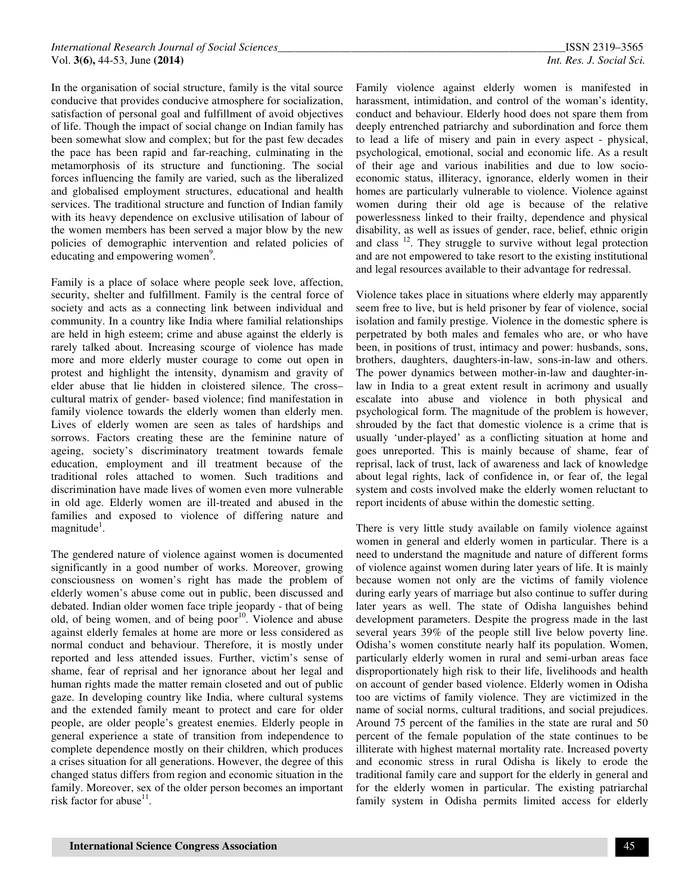In the organisation of social structure, family is the vital source conducive that provides conducive atmosphere for socialization, satisfaction of personal goal and fulfillment of avoid objectives of life. Though the impact of social change on Indian family has been somewhat slow and complex; but for the past few decades the pace has been rapid and far-reaching, culminating in the metamorphosis of its structure and functioning. The social forces influencing the family are varied, such as the liberalized and globalised employment structures, educational and health services. The traditional structure and function of Indian family with its heavy dependence on exclusive utilisation of labour of the women members has been served a major blow by the new policies of demographic intervention and related policies of educating and empowering women<sup>9</sup>.

Family is a place of solace where people seek love, affection, security, shelter and fulfillment. Family is the central force of society and acts as a connecting link between individual and community. In a country like India where familial relationships are held in high esteem; crime and abuse against the elderly is rarely talked about. Increasing scourge of violence has made more and more elderly muster courage to come out open in protest and highlight the intensity, dynamism and gravity of elder abuse that lie hidden in cloistered silence. The cross– cultural matrix of gender- based violence; find manifestation in family violence towards the elderly women than elderly men. Lives of elderly women are seen as tales of hardships and sorrows. Factors creating these are the feminine nature of ageing, society's discriminatory treatment towards female education, employment and ill treatment because of the traditional roles attached to women. Such traditions and discrimination have made lives of women even more vulnerable in old age. Elderly women are ill-treated and abused in the families and exposed to violence of differing nature and magnitude<sup>1</sup>.

The gendered nature of violence against women is documented significantly in a good number of works. Moreover, growing consciousness on women's right has made the problem of elderly women's abuse come out in public, been discussed and debated. Indian older women face triple jeopardy - that of being old, of being women, and of being poor<sup>10</sup>. Violence and abuse against elderly females at home are more or less considered as normal conduct and behaviour. Therefore, it is mostly under reported and less attended issues. Further, victim's sense of shame, fear of reprisal and her ignorance about her legal and human rights made the matter remain closeted and out of public gaze. In developing country like India, where cultural systems and the extended family meant to protect and care for older people, are older people's greatest enemies. Elderly people in general experience a state of transition from independence to complete dependence mostly on their children, which produces a crises situation for all generations. However, the degree of this changed status differs from region and economic situation in the family. Moreover, sex of the older person becomes an important risk factor for abuse $11$ .

Family violence against elderly women is manifested in harassment, intimidation, and control of the woman's identity, conduct and behaviour. Elderly hood does not spare them from deeply entrenched patriarchy and subordination and force them to lead a life of misery and pain in every aspect - physical, psychological, emotional, social and economic life. As a result of their age and various inabilities and due to low socioeconomic status, illiteracy, ignorance, elderly women in their homes are particularly vulnerable to violence. Violence against women during their old age is because of the relative powerlessness linked to their frailty, dependence and physical disability, as well as issues of gender, race, belief, ethnic origin and class  $12$ . They struggle to survive without legal protection and are not empowered to take resort to the existing institutional and legal resources available to their advantage for redressal.

Violence takes place in situations where elderly may apparently seem free to live, but is held prisoner by fear of violence, social isolation and family prestige. Violence in the domestic sphere is perpetrated by both males and females who are, or who have been, in positions of trust, intimacy and power: husbands, sons, brothers, daughters, daughters-in-law, sons-in-law and others. The power dynamics between mother-in-law and daughter-inlaw in India to a great extent result in acrimony and usually escalate into abuse and violence in both physical and psychological form. The magnitude of the problem is however, shrouded by the fact that domestic violence is a crime that is usually 'under-played' as a conflicting situation at home and goes unreported. This is mainly because of shame, fear of reprisal, lack of trust, lack of awareness and lack of knowledge about legal rights, lack of confidence in, or fear of, the legal system and costs involved make the elderly women reluctant to report incidents of abuse within the domestic setting.

There is very little study available on family violence against women in general and elderly women in particular. There is a need to understand the magnitude and nature of different forms of violence against women during later years of life. It is mainly because women not only are the victims of family violence during early years of marriage but also continue to suffer during later years as well. The state of Odisha languishes behind development parameters. Despite the progress made in the last several years 39% of the people still live below poverty line. Odisha's women constitute nearly half its population. Women, particularly elderly women in rural and semi-urban areas face disproportionately high risk to their life, livelihoods and health on account of gender based violence. Elderly women in Odisha too are victims of family violence. They are victimized in the name of social norms, cultural traditions, and social prejudices. Around 75 percent of the families in the state are rural and 50 percent of the female population of the state continues to be illiterate with highest maternal mortality rate. Increased poverty and economic stress in rural Odisha is likely to erode the traditional family care and support for the elderly in general and for the elderly women in particular. The existing patriarchal family system in Odisha permits limited access for elderly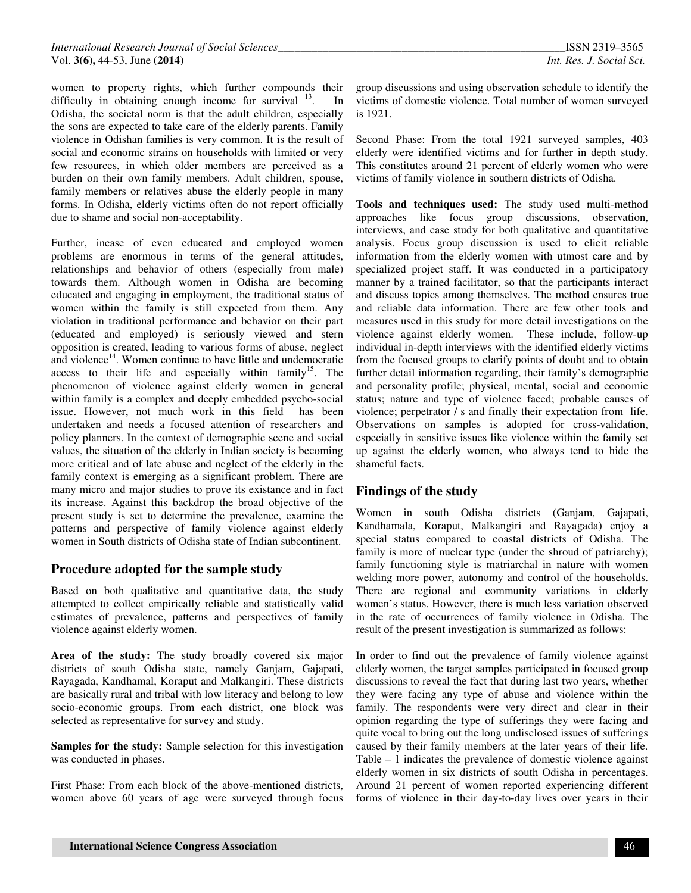women to property rights, which further compounds their difficulty in obtaining enough income for survival  $13$ . In Odisha, the societal norm is that the adult children, especially the sons are expected to take care of the elderly parents. Family violence in Odishan families is very common. It is the result of social and economic strains on households with limited or very few resources, in which older members are perceived as a burden on their own family members. Adult children, spouse, family members or relatives abuse the elderly people in many forms. In Odisha, elderly victims often do not report officially due to shame and social non-acceptability.

Further, incase of even educated and employed women problems are enormous in terms of the general attitudes, relationships and behavior of others (especially from male) towards them. Although women in Odisha are becoming educated and engaging in employment, the traditional status of women within the family is still expected from them. Any violation in traditional performance and behavior on their part (educated and employed) is seriously viewed and stern opposition is created, leading to various forms of abuse, neglect and violence<sup>14</sup>. Women continue to have little and undemocratic access to their life and especially within family<sup>15</sup>. The phenomenon of violence against elderly women in general within family is a complex and deeply embedded psycho-social issue. However, not much work in this field has been undertaken and needs a focused attention of researchers and policy planners. In the context of demographic scene and social values, the situation of the elderly in Indian society is becoming more critical and of late abuse and neglect of the elderly in the family context is emerging as a significant problem. There are many micro and major studies to prove its existance and in fact its increase. Against this backdrop the broad objective of the present study is set to determine the prevalence, examine the patterns and perspective of family violence against elderly women in South districts of Odisha state of Indian subcontinent.

### **Procedure adopted for the sample study**

Based on both qualitative and quantitative data, the study attempted to collect empirically reliable and statistically valid estimates of prevalence, patterns and perspectives of family violence against elderly women.

**Area of the study:** The study broadly covered six major districts of south Odisha state, namely Ganjam, Gajapati, Rayagada, Kandhamal, Koraput and Malkangiri. These districts are basically rural and tribal with low literacy and belong to low socio-economic groups. From each district, one block was selected as representative for survey and study.

**Samples for the study:** Sample selection for this investigation was conducted in phases.

First Phase: From each block of the above-mentioned districts, women above 60 years of age were surveyed through focus

group discussions and using observation schedule to identify the victims of domestic violence. Total number of women surveyed is 1921.

Second Phase: From the total 1921 surveyed samples, 403 elderly were identified victims and for further in depth study. This constitutes around 21 percent of elderly women who were victims of family violence in southern districts of Odisha.

**Tools and techniques used:** The study used multi-method approaches like focus group discussions, observation, interviews, and case study for both qualitative and quantitative analysis. Focus group discussion is used to elicit reliable information from the elderly women with utmost care and by specialized project staff. It was conducted in a participatory manner by a trained facilitator, so that the participants interact and discuss topics among themselves. The method ensures true and reliable data information. There are few other tools and measures used in this study for more detail investigations on the violence against elderly women. These include, follow-up individual in-depth interviews with the identified elderly victims from the focused groups to clarify points of doubt and to obtain further detail information regarding, their family's demographic and personality profile; physical, mental, social and economic status; nature and type of violence faced; probable causes of violence; perpetrator / s and finally their expectation from life. Observations on samples is adopted for cross-validation, especially in sensitive issues like violence within the family set up against the elderly women, who always tend to hide the shameful facts.

# **Findings of the study**

Women in south Odisha districts (Ganjam, Gajapati, Kandhamala, Koraput, Malkangiri and Rayagada) enjoy a special status compared to coastal districts of Odisha. The family is more of nuclear type (under the shroud of patriarchy); family functioning style is matriarchal in nature with women welding more power, autonomy and control of the households. There are regional and community variations in elderly women's status. However, there is much less variation observed in the rate of occurrences of family violence in Odisha. The result of the present investigation is summarized as follows:

In order to find out the prevalence of family violence against elderly women, the target samples participated in focused group discussions to reveal the fact that during last two years, whether they were facing any type of abuse and violence within the family. The respondents were very direct and clear in their opinion regarding the type of sufferings they were facing and quite vocal to bring out the long undisclosed issues of sufferings caused by their family members at the later years of their life. Table – 1 indicates the prevalence of domestic violence against elderly women in six districts of south Odisha in percentages. Around 21 percent of women reported experiencing different forms of violence in their day-to-day lives over years in their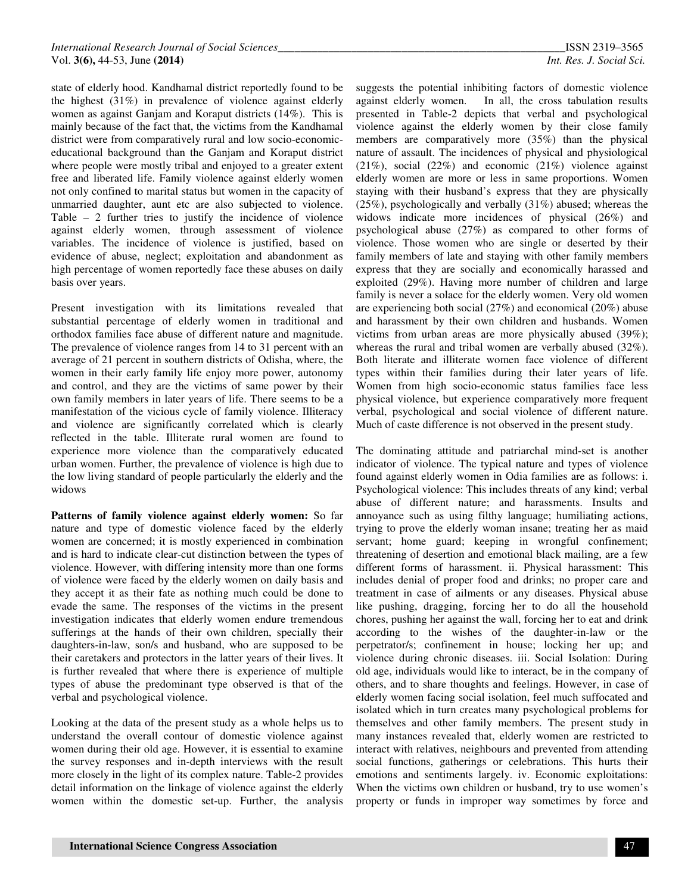state of elderly hood. Kandhamal district reportedly found to be the highest (31%) in prevalence of violence against elderly women as against Ganjam and Koraput districts (14%). This is mainly because of the fact that, the victims from the Kandhamal district were from comparatively rural and low socio-economiceducational background than the Ganjam and Koraput district where people were mostly tribal and enjoyed to a greater extent free and liberated life. Family violence against elderly women not only confined to marital status but women in the capacity of unmarried daughter, aunt etc are also subjected to violence. Table – 2 further tries to justify the incidence of violence against elderly women, through assessment of violence variables. The incidence of violence is justified, based on evidence of abuse, neglect; exploitation and abandonment as high percentage of women reportedly face these abuses on daily basis over years.

Present investigation with its limitations revealed that substantial percentage of elderly women in traditional and orthodox families face abuse of different nature and magnitude. The prevalence of violence ranges from 14 to 31 percent with an average of 21 percent in southern districts of Odisha, where, the women in their early family life enjoy more power, autonomy and control, and they are the victims of same power by their own family members in later years of life. There seems to be a manifestation of the vicious cycle of family violence. Illiteracy and violence are significantly correlated which is clearly reflected in the table. Illiterate rural women are found to experience more violence than the comparatively educated urban women. Further, the prevalence of violence is high due to the low living standard of people particularly the elderly and the widows

**Patterns of family violence against elderly women:** So far nature and type of domestic violence faced by the elderly women are concerned; it is mostly experienced in combination and is hard to indicate clear-cut distinction between the types of violence. However, with differing intensity more than one forms of violence were faced by the elderly women on daily basis and they accept it as their fate as nothing much could be done to evade the same. The responses of the victims in the present investigation indicates that elderly women endure tremendous sufferings at the hands of their own children, specially their daughters-in-law, son/s and husband, who are supposed to be their caretakers and protectors in the latter years of their lives. It is further revealed that where there is experience of multiple types of abuse the predominant type observed is that of the verbal and psychological violence.

Looking at the data of the present study as a whole helps us to understand the overall contour of domestic violence against women during their old age. However, it is essential to examine the survey responses and in-depth interviews with the result more closely in the light of its complex nature. Table-2 provides detail information on the linkage of violence against the elderly women within the domestic set-up. Further, the analysis

suggests the potential inhibiting factors of domestic violence against elderly women. In all, the cross tabulation results presented in Table-2 depicts that verbal and psychological violence against the elderly women by their close family members are comparatively more (35%) than the physical nature of assault. The incidences of physical and physiological (21%), social (22%) and economic (21%) violence against elderly women are more or less in same proportions. Women staying with their husband's express that they are physically (25%), psychologically and verbally (31%) abused; whereas the widows indicate more incidences of physical (26%) and psychological abuse (27%) as compared to other forms of violence. Those women who are single or deserted by their family members of late and staying with other family members express that they are socially and economically harassed and exploited (29%). Having more number of children and large family is never a solace for the elderly women. Very old women are experiencing both social (27%) and economical (20%) abuse and harassment by their own children and husbands. Women victims from urban areas are more physically abused (39%); whereas the rural and tribal women are verbally abused (32%). Both literate and illiterate women face violence of different types within their families during their later years of life. Women from high socio-economic status families face less physical violence, but experience comparatively more frequent verbal, psychological and social violence of different nature. Much of caste difference is not observed in the present study.

The dominating attitude and patriarchal mind-set is another indicator of violence. The typical nature and types of violence found against elderly women in Odia families are as follows: i. Psychological violence: This includes threats of any kind; verbal abuse of different nature; and harassments. Insults and annoyance such as using filthy language; humiliating actions, trying to prove the elderly woman insane; treating her as maid servant; home guard; keeping in wrongful confinement; threatening of desertion and emotional black mailing, are a few different forms of harassment. ii. Physical harassment: This includes denial of proper food and drinks; no proper care and treatment in case of ailments or any diseases. Physical abuse like pushing, dragging, forcing her to do all the household chores, pushing her against the wall, forcing her to eat and drink according to the wishes of the daughter-in-law or the perpetrator/s; confinement in house; locking her up; and violence during chronic diseases. iii. Social Isolation: During old age, individuals would like to interact, be in the company of others, and to share thoughts and feelings. However, in case of elderly women facing social isolation, feel much suffocated and isolated which in turn creates many psychological problems for themselves and other family members. The present study in many instances revealed that, elderly women are restricted to interact with relatives, neighbours and prevented from attending social functions, gatherings or celebrations. This hurts their emotions and sentiments largely. iv. Economic exploitations: When the victims own children or husband, try to use women's property or funds in improper way sometimes by force and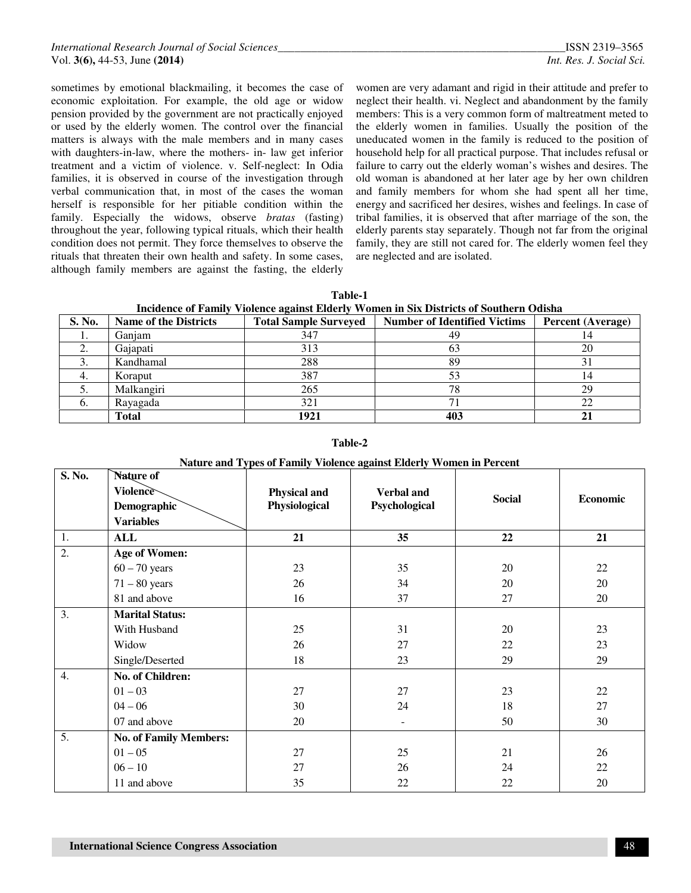sometimes by emotional blackmailing, it becomes the case of economic exploitation. For example, the old age or widow pension provided by the government are not practically enjoyed or used by the elderly women. The control over the financial matters is always with the male members and in many cases with daughters-in-law, where the mothers- in- law get inferior treatment and a victim of violence. v. Self-neglect: In Odia families, it is observed in course of the investigation through verbal communication that, in most of the cases the woman herself is responsible for her pitiable condition within the family. Especially the widows, observe *bratas* (fasting) throughout the year, following typical rituals, which their health condition does not permit. They force themselves to observe the rituals that threaten their own health and safety. In some cases, although family members are against the fasting, the elderly

women are very adamant and rigid in their attitude and prefer to neglect their health. vi. Neglect and abandonment by the family members: This is a very common form of maltreatment meted to the elderly women in families. Usually the position of the uneducated women in the family is reduced to the position of household help for all practical purpose. That includes refusal or failure to carry out the elderly woman's wishes and desires. The old woman is abandoned at her later age by her own children and family members for whom she had spent all her time, energy and sacrificed her desires, wishes and feelings. In case of tribal families, it is observed that after marriage of the son, the elderly parents stay separately. Though not far from the original family, they are still not cared for. The elderly women feel they are neglected and are isolated.

| Table-1                                                                                |
|----------------------------------------------------------------------------------------|
| Incidence of Family Violence against Elderly Women in Six Districts of Southern Odisha |

| S. No.         | <b>Name of the Districts</b> | <b>Total Sample Surveyed</b> | <b>Number of Identified Victims</b> | <b>Percent (Average)</b> |
|----------------|------------------------------|------------------------------|-------------------------------------|--------------------------|
| .,             | Ganjam                       | 347                          | 49                                  | 14                       |
| Ź.             | Gajapati                     | 313                          | 63                                  | 20                       |
|                | Kandhamal                    | 288                          | 89                                  | 31                       |
|                | Koraput                      | 387                          |                                     |                          |
|                | Malkangiri                   | 265                          | 78                                  | 29                       |
| $\mathbf{b}$ . | Rayagada                     | 321                          | ⇁                                   |                          |
|                | <b>Total</b>                 | 1921                         | 403                                 |                          |

**Table-2** 

| Nature and Types of Family Violence against Elderly Women in Percent |  |
|----------------------------------------------------------------------|--|
|                                                                      |  |

| S. No.           | Nature of                     |               |                          |               |          |
|------------------|-------------------------------|---------------|--------------------------|---------------|----------|
|                  | Violence                      | Physical and  | <b>Verbal</b> and        | <b>Social</b> | Economic |
|                  | Demographic                   | Physiological | Psychological            |               |          |
|                  | <b>Variables</b>              |               |                          |               |          |
| 1.               | ALL                           | 21            | 35                       | 22            | 21       |
| $\overline{2}$ . | <b>Age of Women:</b>          |               |                          |               |          |
|                  | $60 - 70$ years               | 23            | 35                       | 20            | 22       |
|                  | $71 - 80$ years               | 26            | 34                       | 20            | 20       |
|                  | 81 and above                  | 16            | 37                       | 27            | 20       |
| 3.               | <b>Marital Status:</b>        |               |                          |               |          |
|                  | With Husband                  | 25            | 31                       | 20            | 23       |
|                  | Widow                         | 26            | 27                       | 22            | 23       |
|                  | Single/Deserted               | 18            | 23                       | 29            | 29       |
| $\overline{4}$ . | No. of Children:              |               |                          |               |          |
|                  | $01 - 03$                     | 27            | 27                       | 23            | 22       |
|                  | $04 - 06$                     | 30            | 24                       | 18            | 27       |
|                  | 07 and above                  | 20            | $\overline{\phantom{a}}$ | 50            | 30       |
| 5.               | <b>No. of Family Members:</b> |               |                          |               |          |
|                  | $01 - 05$                     | 27            | 25                       | 21            | 26       |
|                  | $06 - 10$                     | 27            | 26                       | 24            | 22       |
|                  | 11 and above                  | 35            | 22                       | 22            | 20       |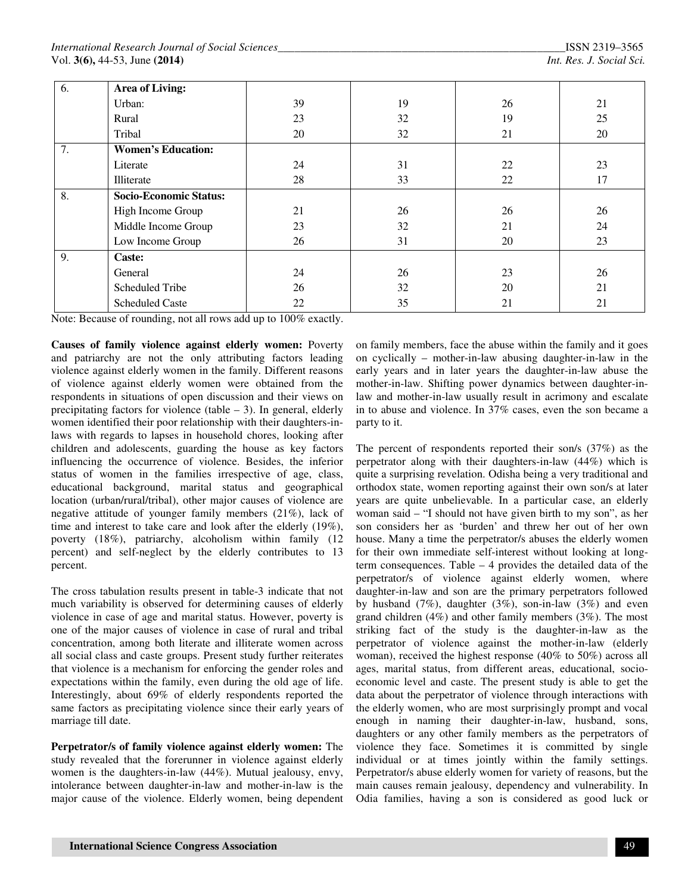| 6. | Area of Living:               |    |    |    |    |
|----|-------------------------------|----|----|----|----|
|    | Urban:                        | 39 | 19 | 26 | 21 |
|    | Rural                         | 23 | 32 | 19 | 25 |
|    | Tribal                        | 20 | 32 | 21 | 20 |
| 7. | <b>Women's Education:</b>     |    |    |    |    |
|    | Literate                      | 24 | 31 | 22 | 23 |
|    | Illiterate                    | 28 | 33 | 22 | 17 |
| 8. | <b>Socio-Economic Status:</b> |    |    |    |    |
|    | High Income Group             | 21 | 26 | 26 | 26 |
|    | Middle Income Group           | 23 | 32 | 21 | 24 |
|    | Low Income Group              | 26 | 31 | 20 | 23 |
| 9. | Caste:                        |    |    |    |    |
|    | General                       | 24 | 26 | 23 | 26 |
|    | Scheduled Tribe               | 26 | 32 | 20 | 21 |
|    | <b>Scheduled Caste</b>        | 22 | 35 | 21 | 21 |

Note: Because of rounding, not all rows add up to 100% exactly.

**Causes of family violence against elderly women:** Poverty and patriarchy are not the only attributing factors leading violence against elderly women in the family. Different reasons of violence against elderly women were obtained from the respondents in situations of open discussion and their views on precipitating factors for violence (table  $-$  3). In general, elderly women identified their poor relationship with their daughters-inlaws with regards to lapses in household chores, looking after children and adolescents, guarding the house as key factors influencing the occurrence of violence. Besides, the inferior status of women in the families irrespective of age, class, educational background, marital status and geographical location (urban/rural/tribal), other major causes of violence are negative attitude of younger family members (21%), lack of time and interest to take care and look after the elderly (19%), poverty (18%), patriarchy, alcoholism within family (12 percent) and self-neglect by the elderly contributes to 13 percent.

The cross tabulation results present in table-3 indicate that not much variability is observed for determining causes of elderly violence in case of age and marital status. However, poverty is one of the major causes of violence in case of rural and tribal concentration, among both literate and illiterate women across all social class and caste groups. Present study further reiterates that violence is a mechanism for enforcing the gender roles and expectations within the family, even during the old age of life. Interestingly, about 69% of elderly respondents reported the same factors as precipitating violence since their early years of marriage till date.

**Perpetrator/s of family violence against elderly women:** The study revealed that the forerunner in violence against elderly women is the daughters-in-law (44%). Mutual jealousy, envy, intolerance between daughter-in-law and mother-in-law is the major cause of the violence. Elderly women, being dependent

on family members, face the abuse within the family and it goes on cyclically – mother-in-law abusing daughter-in-law in the early years and in later years the daughter-in-law abuse the mother-in-law. Shifting power dynamics between daughter-inlaw and mother-in-law usually result in acrimony and escalate in to abuse and violence. In 37% cases, even the son became a party to it.

The percent of respondents reported their son/s (37%) as the perpetrator along with their daughters-in-law (44%) which is quite a surprising revelation. Odisha being a very traditional and orthodox state, women reporting against their own son/s at later years are quite unbelievable. In a particular case, an elderly woman said – "I should not have given birth to my son", as her son considers her as 'burden' and threw her out of her own house. Many a time the perpetrator/s abuses the elderly women for their own immediate self-interest without looking at longterm consequences. Table – 4 provides the detailed data of the perpetrator/s of violence against elderly women, where daughter-in-law and son are the primary perpetrators followed by husband  $(7\%)$ , daughter  $(3\%)$ , son-in-law  $(3\%)$  and even grand children (4%) and other family members (3%). The most striking fact of the study is the daughter-in-law as the perpetrator of violence against the mother-in-law (elderly woman), received the highest response (40% to 50%) across all ages, marital status, from different areas, educational, socioeconomic level and caste. The present study is able to get the data about the perpetrator of violence through interactions with the elderly women, who are most surprisingly prompt and vocal enough in naming their daughter-in-law, husband, sons, daughters or any other family members as the perpetrators of violence they face. Sometimes it is committed by single individual or at times jointly within the family settings. Perpetrator/s abuse elderly women for variety of reasons, but the main causes remain jealousy, dependency and vulnerability. In Odia families, having a son is considered as good luck or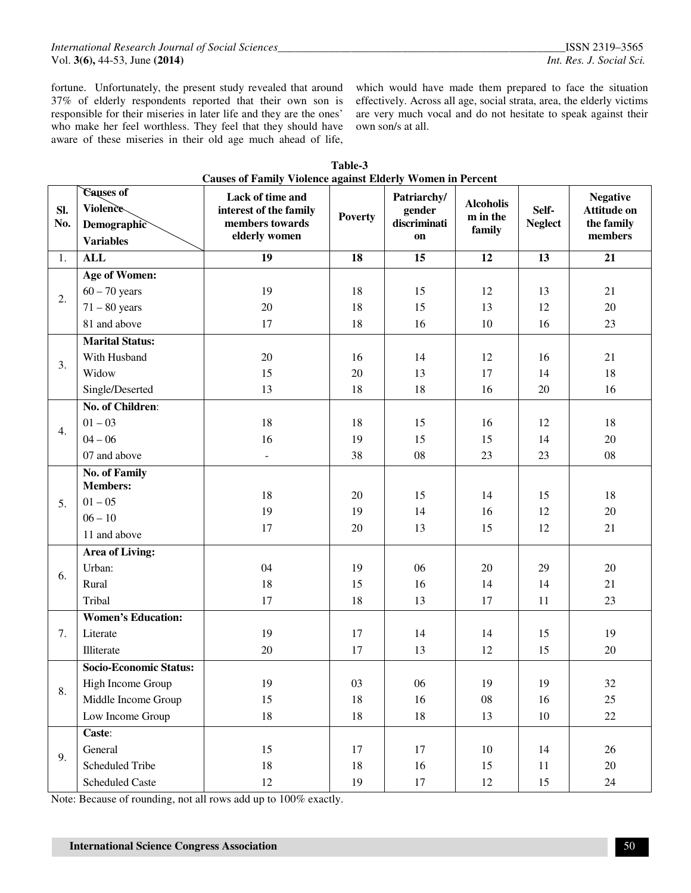fortune. Unfortunately, the present study revealed that around 37% of elderly respondents reported that their own son is responsible for their miseries in later life and they are the ones' who make her feel worthless. They feel that they should have aware of these miseries in their old age much ahead of life, which would have made them prepared to face the situation effectively. Across all age, social strata, area, the elderly victims are very much vocal and do not hesitate to speak against their own son/s at all.

|            |                                                          | Causes of Family Violence against Elderly Women in Percent                     |                |                                             |                                        |                         |                                                                |
|------------|----------------------------------------------------------|--------------------------------------------------------------------------------|----------------|---------------------------------------------|----------------------------------------|-------------------------|----------------------------------------------------------------|
| Sl.<br>No. | Causes of<br>Violence<br>Demographic<br><b>Variables</b> | Lack of time and<br>interest of the family<br>members towards<br>elderly women | <b>Poverty</b> | Patriarchy/<br>gender<br>discriminati<br>on | <b>Alcoholis</b><br>m in the<br>family | Self-<br><b>Neglect</b> | <b>Negative</b><br><b>Attitude on</b><br>the family<br>members |
| 1.         | <b>ALL</b>                                               | $\overline{19}$                                                                | 18             | $\overline{15}$                             | 12                                     | 13                      | 21                                                             |
|            | <b>Age of Women:</b>                                     |                                                                                |                |                                             |                                        |                         |                                                                |
| 2.         | $60 - 70$ years                                          | 19                                                                             | 18             | 15                                          | 12                                     | 13                      | 21                                                             |
|            | $71 - 80$ years                                          | 20                                                                             | 18             | 15                                          | 13                                     | 12                      | 20                                                             |
|            | 81 and above                                             | 17                                                                             | 18             | 16                                          | 10                                     | 16                      | 23                                                             |
|            | <b>Marital Status:</b>                                   |                                                                                |                |                                             |                                        |                         |                                                                |
|            | With Husband                                             | 20                                                                             | 16             | 14                                          | 12                                     | 16                      | 21                                                             |
| 3.         | Widow                                                    | 15                                                                             | 20             | 13                                          | 17                                     | 14                      | 18                                                             |
|            | Single/Deserted                                          | 13                                                                             | 18             | 18                                          | 16                                     | 20                      | 16                                                             |
|            | No. of Children:                                         |                                                                                |                |                                             |                                        |                         |                                                                |
|            | $01 - 03$                                                | 18                                                                             | 18             | 15                                          | 16                                     | 12                      | 18                                                             |
| 4.         | $04 - 06$                                                | 16                                                                             | 19             | 15                                          | 15                                     | 14                      | 20                                                             |
|            | 07 and above                                             | $\blacksquare$                                                                 | 38             | 08                                          | 23                                     | 23                      | ${\bf 08}$                                                     |
|            | <b>No. of Family</b>                                     |                                                                                |                |                                             |                                        |                         |                                                                |
|            | <b>Members:</b>                                          | 18                                                                             | 20             | 15                                          | 14                                     | 15                      | 18                                                             |
| 5.         | $01 - 05$                                                | 19                                                                             | 19             | 14                                          | 16                                     | 12                      | 20                                                             |
|            | $06 - 10$                                                | 17                                                                             | $20\,$         | 13                                          | 15                                     | 12                      | 21                                                             |
|            | 11 and above                                             |                                                                                |                |                                             |                                        |                         |                                                                |
|            | <b>Area of Living:</b>                                   |                                                                                |                |                                             |                                        |                         |                                                                |
| 6.         | Urban:                                                   | 04                                                                             | 19             | 06                                          | 20                                     | 29                      | 20                                                             |
|            | Rural                                                    | 18                                                                             | 15             | 16                                          | 14                                     | 14                      | 21                                                             |
|            | Tribal                                                   | 17                                                                             | 18             | 13                                          | 17                                     | 11                      | 23                                                             |
|            | <b>Women's Education:</b>                                |                                                                                |                |                                             |                                        |                         |                                                                |
| 7.         | Literate                                                 | 19                                                                             | 17             | 14                                          | 14                                     | 15                      | 19                                                             |
|            | Illiterate                                               | 20                                                                             | 17             | 13                                          | 12                                     | 15                      | 20                                                             |
|            | <b>Socio-Economic Status:</b>                            |                                                                                |                |                                             |                                        |                         |                                                                |
|            | High Income Group                                        | 19                                                                             | $03\,$         | 06                                          | 19                                     | 19                      | $32\,$                                                         |
| 8.         | Middle Income Group                                      | 15                                                                             | 18             | 16                                          | 08                                     | 16                      | 25                                                             |
|            | Low Income Group                                         | $18\,$                                                                         | 18             | $18\,$                                      | 13                                     | $10\,$                  | $22\,$                                                         |
|            | Caste:                                                   |                                                                                |                |                                             |                                        |                         |                                                                |
|            | General                                                  | 15                                                                             | 17             | 17                                          | 10                                     | 14                      | 26                                                             |
| 9.         | <b>Scheduled Tribe</b>                                   | 18                                                                             | 18             | 16                                          | 15                                     | $11\,$                  | 20                                                             |
|            | <b>Scheduled Caste</b>                                   | 12                                                                             | 19             | 17                                          | 12                                     | 15                      | $24\,$                                                         |

| Table-3                                                           |  |
|-------------------------------------------------------------------|--|
| <b>Causes of Family Violence against Elderly Women in Percent</b> |  |

Note: Because of rounding, not all rows add up to 100% exactly.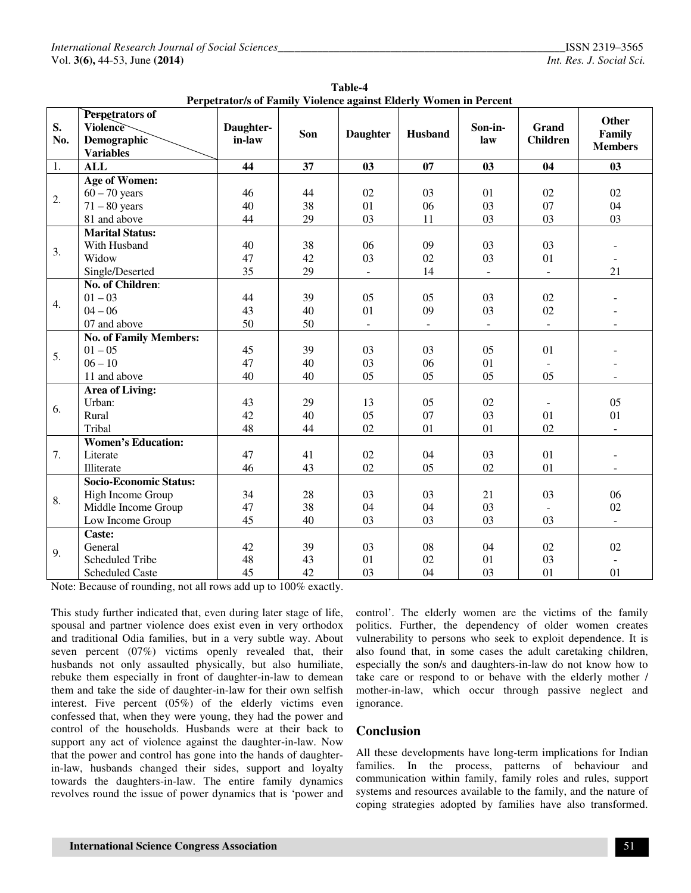| Table-4                                                           |  |  |  |  |  |
|-------------------------------------------------------------------|--|--|--|--|--|
| Perpetrator/s of Family Violence against Elderly Women in Percent |  |  |  |  |  |

|     | Perpetrators of               |           |     |                 |                          |                |                 |                          |
|-----|-------------------------------|-----------|-----|-----------------|--------------------------|----------------|-----------------|--------------------------|
| S.  | Violence                      | Daughter- |     |                 |                          | Son-in-        | <b>Grand</b>    | <b>Other</b>             |
| No. | <b>Demographic</b>            | in-law    | Son | <b>Daughter</b> | Husband                  | law            | <b>Children</b> | Family                   |
|     | <b>Variables</b>              |           |     |                 |                          |                |                 | <b>Members</b>           |
| 1.  | <b>ALL</b>                    | 44        | 37  | 03              | 07                       | 03             | 04              | 03                       |
|     | <b>Age of Women:</b>          |           |     |                 |                          |                |                 |                          |
|     | $60 - 70$ years               | 46        | 44  | 02              | 03                       | 01             | 02              | 02                       |
| 2.  | $71 - 80$ years               | 40        | 38  | 01              | 06                       | 03             | 07              | 04                       |
|     | 81 and above                  | 44        | 29  | 03              | 11                       | 03             | 03              | 03                       |
|     | <b>Marital Status:</b>        |           |     |                 |                          |                |                 |                          |
|     | With Husband                  | 40        | 38  | 06              | 09                       | 03             | 03              |                          |
| 3.  | Widow                         | 47        | 42  | 03              | 02                       | 03             | 01              |                          |
|     | Single/Deserted               | 35        | 29  | $\sim$          | 14                       | $\equiv$       | $\mathbf{r}$    | 21                       |
|     | No. of Children:              |           |     |                 |                          |                |                 |                          |
|     | $01 - 03$                     | 44        | 39  | 05              | 05                       | 03             | 02              |                          |
| 4.  | $04 - 06$                     | 43        | 40  | 01              | 09                       | 03             | 02              |                          |
|     | 07 and above                  | 50        | 50  |                 | $\overline{\phantom{a}}$ | $\blacksquare$ |                 |                          |
|     | <b>No. of Family Members:</b> |           |     |                 |                          |                |                 |                          |
| 5.  | $01 - 05$                     | 45        | 39  | 03              | 03                       | 05             | 01              |                          |
|     | $06 - 10$                     | 47        | 40  | 03              | 06                       | 01             |                 |                          |
|     | 11 and above                  | 40        | 40  | 05              | 05                       | 05             | 05              |                          |
|     | Area of Living:               |           |     |                 |                          |                |                 |                          |
|     | Urban:                        | 43        | 29  | 13              | 05                       | 02             |                 | 05                       |
| 6.  | Rural                         | 42        | 40  | 05              | 07                       | 03             | 01              | 01                       |
|     | Tribal                        | 48        | 44  | 02              | 01                       | 01             | 02              |                          |
|     | <b>Women's Education:</b>     |           |     |                 |                          |                |                 |                          |
| 7.  | Literate                      | 47        | 41  | 02              | 04                       | 03             | 01              |                          |
|     | Illiterate                    | 46        | 43  | 02              | 05                       | 02             | 01              |                          |
|     | Socio-Economic Status:        |           |     |                 |                          |                |                 |                          |
| 8.  | High Income Group             | 34        | 28  | 03              | 03                       | 21             | 03              | 06                       |
|     | Middle Income Group           | 47        | 38  | 04              | 04                       | 03             |                 | 02                       |
|     | Low Income Group              | 45        | 40  | 03              | 03                       | 03             | 03              | $\overline{\phantom{a}}$ |
|     | Caste:                        |           |     |                 |                          |                |                 |                          |
|     | General                       | 42        | 39  | 03              | 08                       | 04             | 02              | 02                       |
| 9.  | <b>Scheduled Tribe</b>        | 48        | 43  | 01              | 02                       | 01             | 03              |                          |
|     | <b>Scheduled Caste</b>        | 45        | 42  | 03              | 04                       | 03             | 01              | 01                       |

Note: Because of rounding, not all rows add up to 100% exactly.

This study further indicated that, even during later stage of life, spousal and partner violence does exist even in very orthodox and traditional Odia families, but in a very subtle way. About seven percent (07%) victims openly revealed that, their husbands not only assaulted physically, but also humiliate, rebuke them especially in front of daughter-in-law to demean them and take the side of daughter-in-law for their own selfish interest. Five percent (05%) of the elderly victims even confessed that, when they were young, they had the power and control of the households. Husbands were at their back to support any act of violence against the daughter-in-law. Now that the power and control has gone into the hands of daughterin-law, husbands changed their sides, support and loyalty towards the daughters-in-law. The entire family dynamics revolves round the issue of power dynamics that is 'power and control'. The elderly women are the victims of the family politics. Further, the dependency of older women creates vulnerability to persons who seek to exploit dependence. It is also found that, in some cases the adult caretaking children, especially the son/s and daughters-in-law do not know how to take care or respond to or behave with the elderly mother / mother-in-law, which occur through passive neglect and ignorance.

## **Conclusion**

All these developments have long-term implications for Indian families. In the process, patterns of behaviour and communication within family, family roles and rules, support systems and resources available to the family, and the nature of coping strategies adopted by families have also transformed.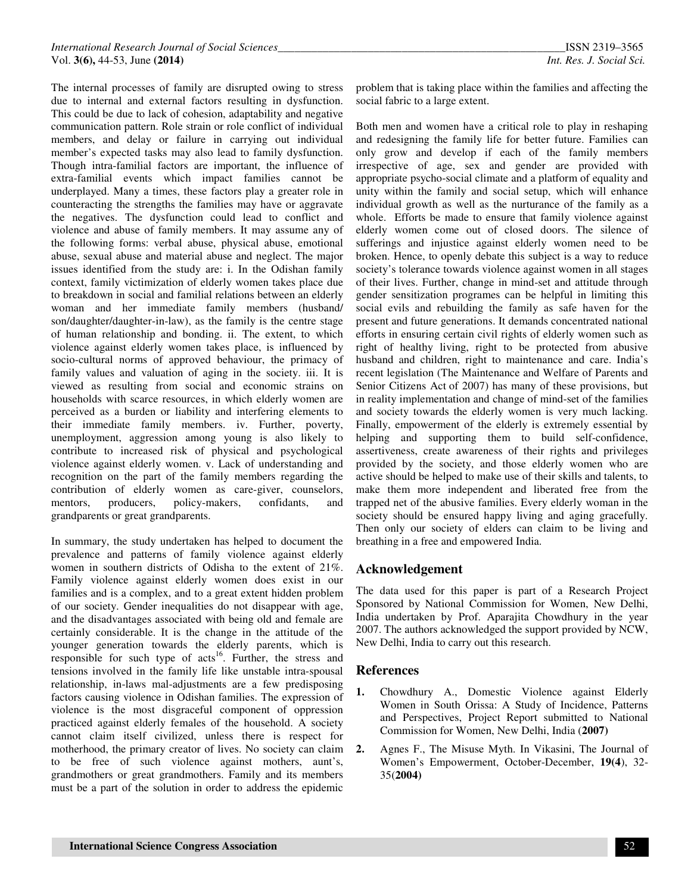The internal processes of family are disrupted owing to stress due to internal and external factors resulting in dysfunction. This could be due to lack of cohesion, adaptability and negative communication pattern. Role strain or role conflict of individual members, and delay or failure in carrying out individual member's expected tasks may also lead to family dysfunction. Though intra-familial factors are important, the influence of extra-familial events which impact families cannot be underplayed. Many a times, these factors play a greater role in counteracting the strengths the families may have or aggravate the negatives. The dysfunction could lead to conflict and violence and abuse of family members. It may assume any of the following forms: verbal abuse, physical abuse, emotional abuse, sexual abuse and material abuse and neglect. The major issues identified from the study are: i. In the Odishan family context, family victimization of elderly women takes place due to breakdown in social and familial relations between an elderly woman and her immediate family members (husband/ son/daughter/daughter-in-law), as the family is the centre stage of human relationship and bonding. ii. The extent, to which violence against elderly women takes place, is influenced by socio-cultural norms of approved behaviour, the primacy of family values and valuation of aging in the society. iii. It is viewed as resulting from social and economic strains on households with scarce resources, in which elderly women are perceived as a burden or liability and interfering elements to their immediate family members. iv. Further, poverty, unemployment, aggression among young is also likely to contribute to increased risk of physical and psychological violence against elderly women. v. Lack of understanding and recognition on the part of the family members regarding the contribution of elderly women as care-giver, counselors, mentors, producers, policy-makers, confidants, and grandparents or great grandparents.

In summary, the study undertaken has helped to document the prevalence and patterns of family violence against elderly women in southern districts of Odisha to the extent of 21%. Family violence against elderly women does exist in our families and is a complex, and to a great extent hidden problem of our society. Gender inequalities do not disappear with age, and the disadvantages associated with being old and female are certainly considerable. It is the change in the attitude of the younger generation towards the elderly parents, which is responsible for such type of acts<sup>16</sup>. Further, the stress and tensions involved in the family life like unstable intra-spousal relationship, in-laws mal-adjustments are a few predisposing factors causing violence in Odishan families. The expression of violence is the most disgraceful component of oppression practiced against elderly females of the household. A society cannot claim itself civilized, unless there is respect for motherhood, the primary creator of lives. No society can claim to be free of such violence against mothers, aunt's, grandmothers or great grandmothers. Family and its members must be a part of the solution in order to address the epidemic

problem that is taking place within the families and affecting the social fabric to a large extent.

Both men and women have a critical role to play in reshaping and redesigning the family life for better future. Families can only grow and develop if each of the family members irrespective of age, sex and gender are provided with appropriate psycho-social climate and a platform of equality and unity within the family and social setup, which will enhance individual growth as well as the nurturance of the family as a whole. Efforts be made to ensure that family violence against elderly women come out of closed doors. The silence of sufferings and injustice against elderly women need to be broken. Hence, to openly debate this subject is a way to reduce society's tolerance towards violence against women in all stages of their lives. Further, change in mind-set and attitude through gender sensitization programes can be helpful in limiting this social evils and rebuilding the family as safe haven for the present and future generations. It demands concentrated national efforts in ensuring certain civil rights of elderly women such as right of healthy living, right to be protected from abusive husband and children, right to maintenance and care. India's recent legislation (The Maintenance and Welfare of Parents and Senior Citizens Act of 2007) has many of these provisions, but in reality implementation and change of mind-set of the families and society towards the elderly women is very much lacking. Finally, empowerment of the elderly is extremely essential by helping and supporting them to build self-confidence, assertiveness, create awareness of their rights and privileges provided by the society, and those elderly women who are active should be helped to make use of their skills and talents, to make them more independent and liberated free from the trapped net of the abusive families. Every elderly woman in the society should be ensured happy living and aging gracefully. Then only our society of elders can claim to be living and breathing in a free and empowered India.

## **Acknowledgement**

The data used for this paper is part of a Research Project Sponsored by National Commission for Women, New Delhi, India undertaken by Prof. Aparajita Chowdhury in the year 2007. The authors acknowledged the support provided by NCW, New Delhi, India to carry out this research.

## **References**

- **1.** Chowdhury A., Domestic Violence against Elderly Women in South Orissa: A Study of Incidence, Patterns and Perspectives, Project Report submitted to National Commission for Women, New Delhi, India (**2007)**
- **2.** Agnes F., The Misuse Myth. In Vikasini, The Journal of Women's Empowerment, October-December, **19(4**), 32- 35(**2004)**